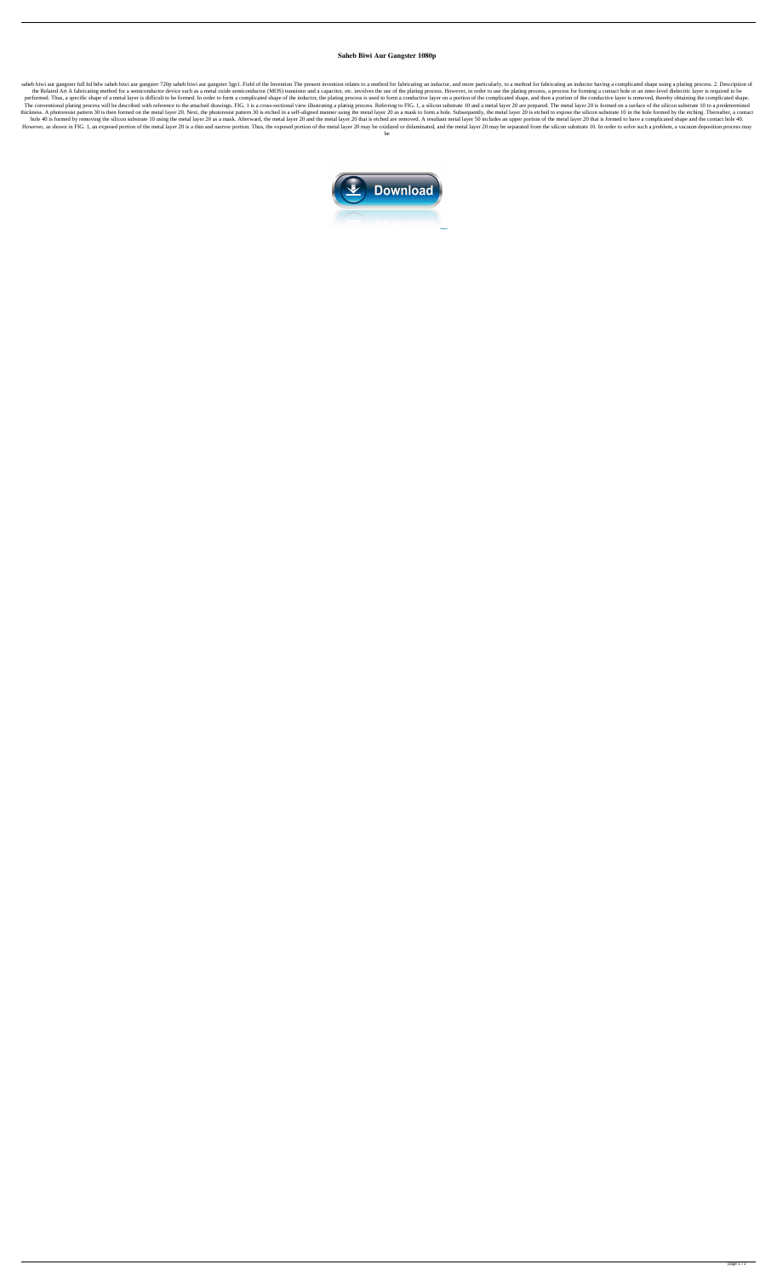## **Saheb Biwi Aur Gangster 1080p**

saheb biwi aur gangster full hd hdw saheb biwi aur gangster 720p saheb biwi aur gangster 3gp1. Field of the Invention The present invention relates to a method for fabricating an inductor, and more particularly, to a metho the Related Art A fabricating method for a semiconductor device such as a metal oxide semiconductor (MOS) transistor and a capacitor, etc. involves the use of the plating process. However, in order to use the plating proce performed. Thus, a specific shape of a metal layer is difficult to be formed. In order to form a complicated shape of the inductor, the plating process is used to form a conductive layer on a portion of the complicated sha The conventional plating process will be described with reference to the attached drawings. FIG. 1 is a cross-sectional view illustrating a plating process. Referring to FIG. 1, a silicon substrate 10 and a metal layer 20 thickness. A photoresist pattern 30 is then formed on the metal layer 20. Next, the photoresist pattern 30 is etched in a self-aligned manner using the metal layer 20 as a mask to form a hole. Subsequently, the metal layer hole 40 is formed by removing the silicon substrate 10 using the metal layer 20 as a mask. Afterward, the metal layer 20 and the metal layer 20 that is etched are removed. A resultant metal layer 50 includes an upper porti However, as shown in FIG. 1, an exposed portion of the metal layer 20 is a thin and narrow portion. Thus, the exposed portion of the metal layer 20 may be oxidized or delaminated, and the metal layer 20 may be separated fr be